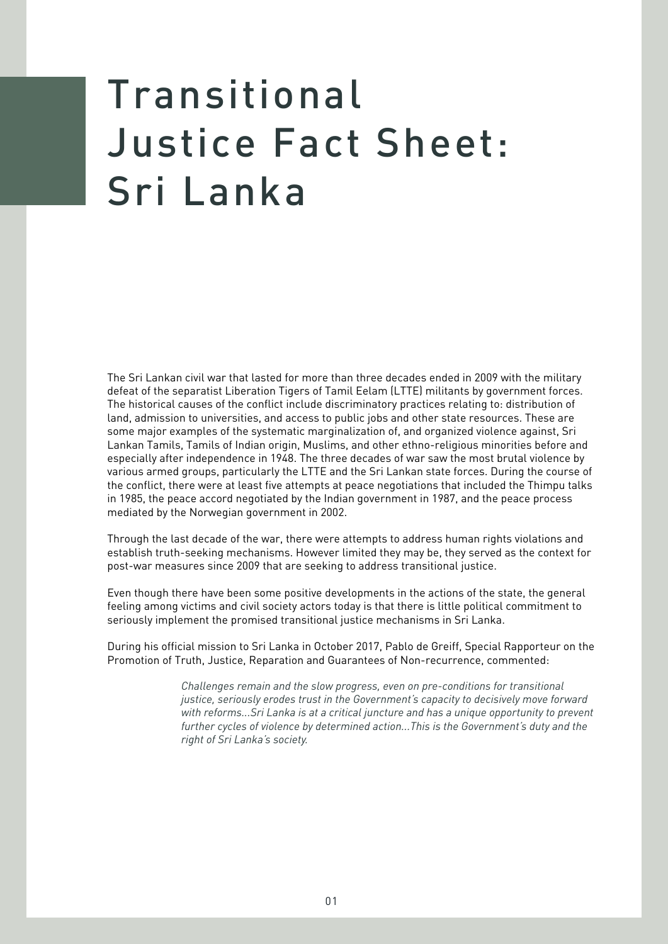## Transitional Justice Fact Sheet: Sri Lanka

The Sri Lankan civil war that lasted for more than three decades ended in 2009 with the military defeat of the separatist Liberation Tigers of Tamil Eelam (LTTE) militants by government forces. The historical causes of the conflict include discriminatory practices relating to: distribution of land, admission to universities, and access to public jobs and other state resources. These are some major examples of the systematic marginalization of, and organized violence against, Sri Lankan Tamils, Tamils of Indian origin, Muslims, and other ethno-religious minorities before and especially after independence in 1948. The three decades of war saw the most brutal violence by various armed groups, particularly the LTTE and the Sri Lankan state forces. During the course of the conflict, there were at least five attempts at peace negotiations that included the Thimpu talks in 1985, the peace accord negotiated by the Indian government in 1987, and the peace process mediated by the Norwegian government in 2002.

Through the last decade of the war, there were attempts to address human rights violations and establish truth-seeking mechanisms. However limited they may be, they served as the context for post-war measures since 2009 that are seeking to address transitional justice.

Even though there have been some positive developments in the actions of the state, the general feeling among victims and civil society actors today is that there is little political commitment to seriously implement the promised transitional justice mechanisms in Sri Lanka.

During his official mission to Sri Lanka in October 2017, Pablo de Greiff, Special Rapporteur on the Promotion of Truth, Justice, Reparation and Guarantees of Non-recurrence, commented:

> *Challenges remain and the slow progress, even on pre-conditions for transitional justice, seriously erodes trust in the Government's capacity to decisively move forward with reforms...Sri Lanka is at a critical juncture and has a unique opportunity to prevent further cycles of violence by determined action...This is the Government's duty and the right of Sri Lanka's society.*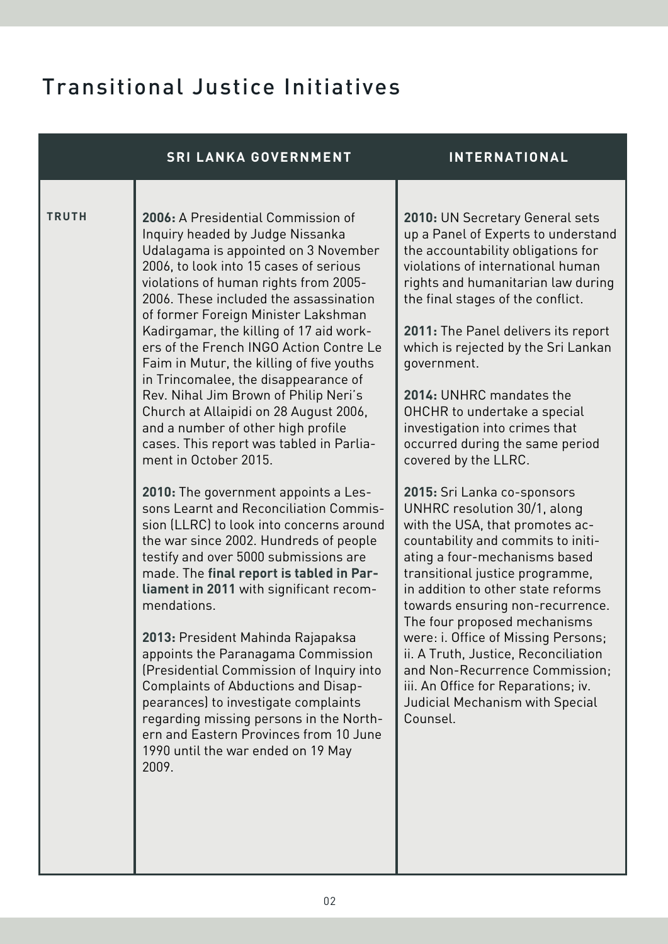## Transitional Justice Initiatives

|              | <b>SRI LANKA GOVERNMENT</b>                                                                                                                                                                                                                                                                                                                                                                                                                                                                                                                                                                                                                                                                                                                                                                                                                                                                                                                                                                                                                                                                                                                                                                                                                                                                                                  | <b>INTERNATIONAL</b>                                                                                                                                                                                                                                                                                                                                                                                                                                                                                                                                                                                                                                                                                                                                                                                                                                                                                                                                                                                            |
|--------------|------------------------------------------------------------------------------------------------------------------------------------------------------------------------------------------------------------------------------------------------------------------------------------------------------------------------------------------------------------------------------------------------------------------------------------------------------------------------------------------------------------------------------------------------------------------------------------------------------------------------------------------------------------------------------------------------------------------------------------------------------------------------------------------------------------------------------------------------------------------------------------------------------------------------------------------------------------------------------------------------------------------------------------------------------------------------------------------------------------------------------------------------------------------------------------------------------------------------------------------------------------------------------------------------------------------------------|-----------------------------------------------------------------------------------------------------------------------------------------------------------------------------------------------------------------------------------------------------------------------------------------------------------------------------------------------------------------------------------------------------------------------------------------------------------------------------------------------------------------------------------------------------------------------------------------------------------------------------------------------------------------------------------------------------------------------------------------------------------------------------------------------------------------------------------------------------------------------------------------------------------------------------------------------------------------------------------------------------------------|
| <b>TRUTH</b> | 2006: A Presidential Commission of<br>Inquiry headed by Judge Nissanka<br>Udalagama is appointed on 3 November<br>2006, to look into 15 cases of serious<br>violations of human rights from 2005-<br>2006. These included the assassination<br>of former Foreign Minister Lakshman<br>Kadirgamar, the killing of 17 aid work-<br>ers of the French INGO Action Contre Le<br>Faim in Mutur, the killing of five youths<br>in Trincomalee, the disappearance of<br>Rev. Nihal Jim Brown of Philip Neri's<br>Church at Allaipidi on 28 August 2006,<br>and a number of other high profile<br>cases. This report was tabled in Parlia-<br>ment in October 2015.<br>2010: The government appoints a Les-<br>sons Learnt and Reconciliation Commis-<br>sion (LLRC) to look into concerns around<br>the war since 2002. Hundreds of people<br>testify and over 5000 submissions are<br>made. The final report is tabled in Par-<br>liament in 2011 with significant recom-<br>mendations.<br>2013: President Mahinda Rajapaksa<br>appoints the Paranagama Commission<br>(Presidential Commission of Inquiry into<br>Complaints of Abductions and Disap-<br>pearances) to investigate complaints<br>regarding missing persons in the North-<br>ern and Eastern Provinces from 10 June<br>1990 until the war ended on 19 May<br>2009. | 2010: UN Secretary General sets<br>up a Panel of Experts to understand<br>the accountability obligations for<br>violations of international human<br>rights and humanitarian law during<br>the final stages of the conflict.<br>2011: The Panel delivers its report<br>which is rejected by the Sri Lankan<br>government.<br>2014: UNHRC mandates the<br>OHCHR to undertake a special<br>investigation into crimes that<br>occurred during the same period<br>covered by the LLRC.<br>2015: Sri Lanka co-sponsors<br>UNHRC resolution 30/1, along<br>with the USA, that promotes ac-<br>countability and commits to initi-<br>ating a four-mechanisms based<br>transitional justice programme,<br>in addition to other state reforms<br>towards ensuring non-recurrence.<br>The four proposed mechanisms<br>were: i. Office of Missing Persons;<br>ii. A Truth, Justice, Reconciliation<br>and Non-Recurrence Commission;<br>iii. An Office for Reparations; iv.<br>Judicial Mechanism with Special<br>Counsel. |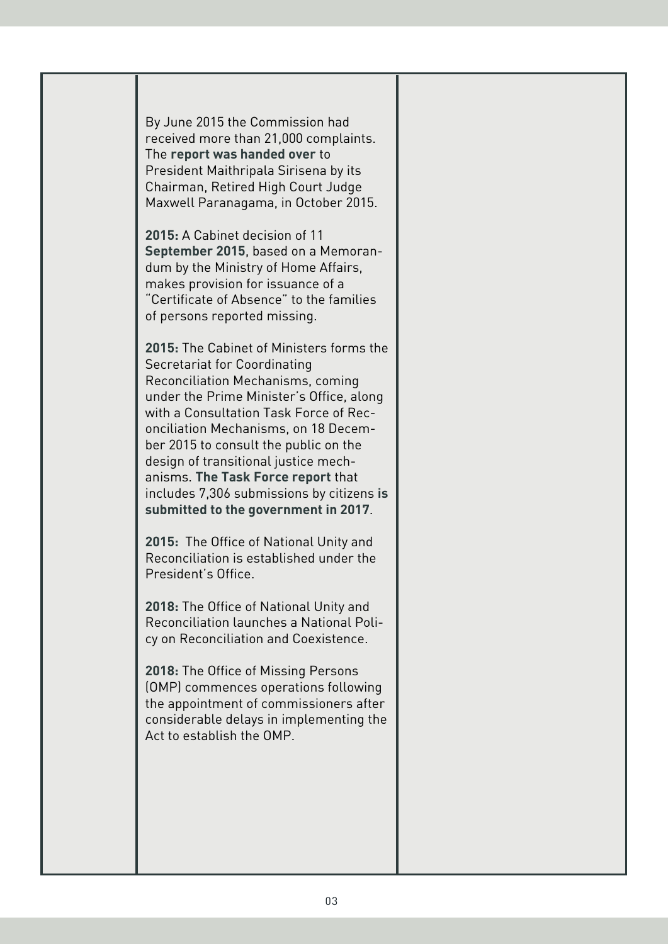